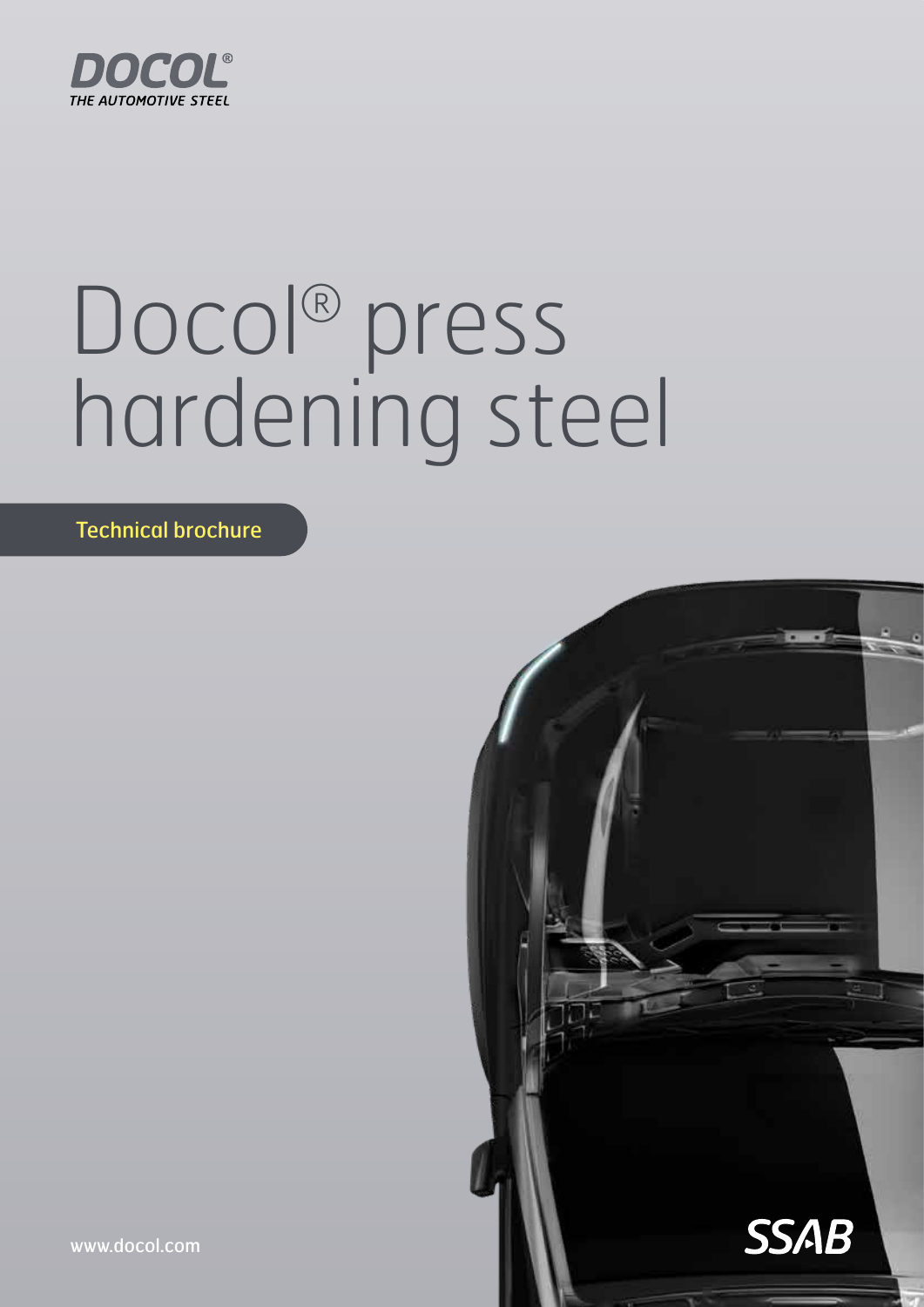

# Docol® press hardening steel

Technical brochure



www.docol.com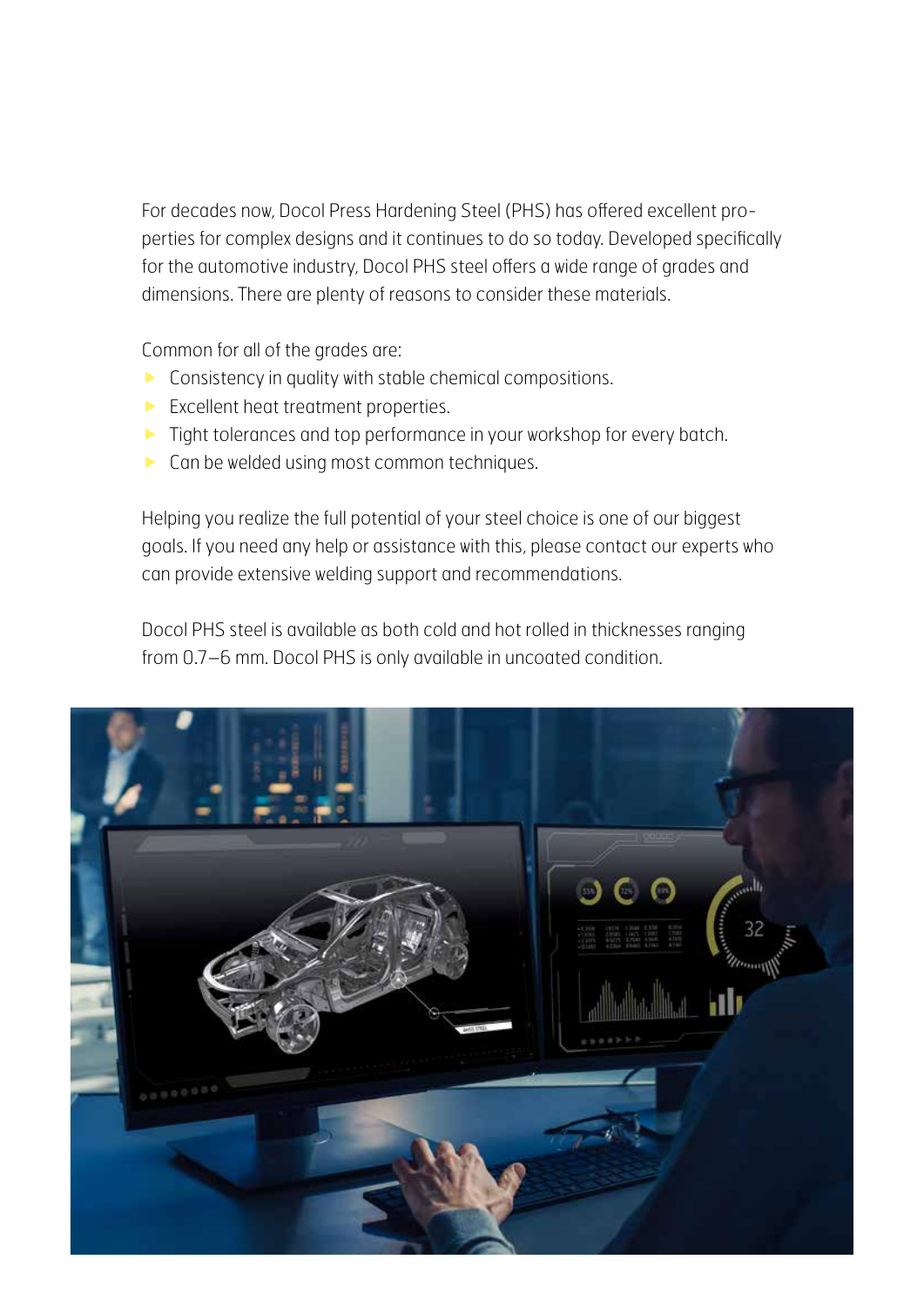For decades now, Docol Press Hardening Steel (PHS) has offered excellent properties for complex designs and it continues to do so today. Developed specifically for the automotive industry, Docol PHS steel offers a wide range of grades and dimensions. There are plenty of reasons to consider these materials.

Common for all of the grades are:

- $\triangleright$  Consistency in quality with stable chemical compositions.
- Excellent heat treatment properties.
- **Tight tolerances and top performance in your workshop for every batch.**
- **Can be welded using most common techniques.**

Helping you realize the full potential of your steel choice is one of our biggest goals. If you need any help or assistance with this, please contact our experts who can provide extensive welding support and recommendations.

Docol PHS steel is available as both cold and hot rolled in thicknesses ranging from 0.7–6 mm. Docol PHS is only available in uncoated condition.

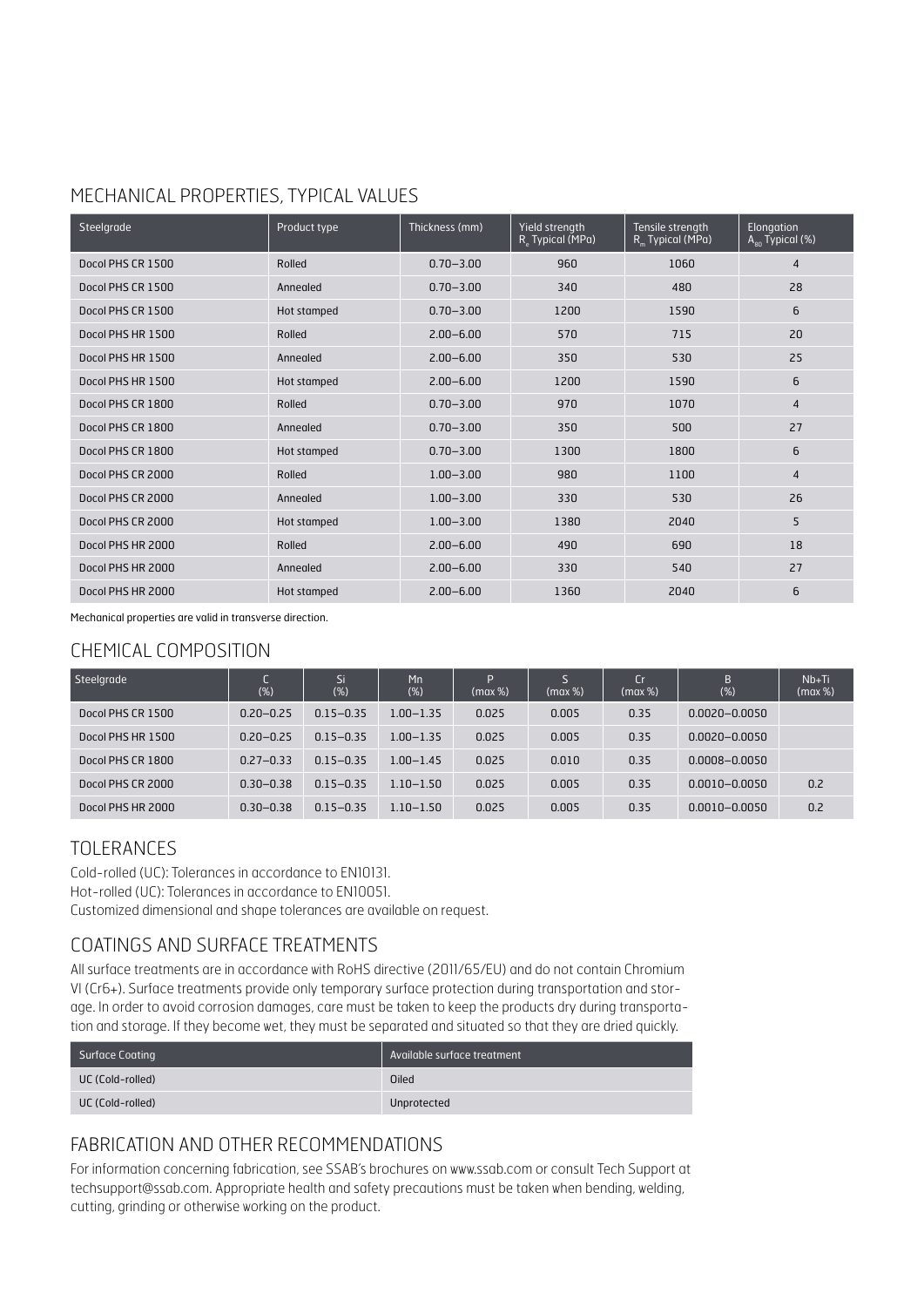#### MECHANICAL PROPERTIES, TYPICAL VALUES

| Steelgrade        | Product type | Thickness (mm) | Yield strength<br>R <sub>c</sub> Typical (MPa) | Tensile strength<br>R <sub>m</sub> Typical (MPa) | Elongation<br>$A_{80}$ Typical (%) |
|-------------------|--------------|----------------|------------------------------------------------|--------------------------------------------------|------------------------------------|
| Docol PHS CR 1500 | Rolled       | $0.70 - 3.00$  | 960                                            | 1060                                             | $\overline{4}$                     |
| Docol PHS CR 1500 | Annealed     | $0.70 - 3.00$  | 340                                            | 480                                              | 28                                 |
| Docol PHS CR 1500 | Hot stamped  | $0.70 - 3.00$  | 1200                                           | 1590                                             | 6                                  |
| Docol PHS HR 1500 | Rolled       | $2.00 - 6.00$  | 570                                            | 715                                              | 20                                 |
| Docol PHS HR 1500 | Annealed     | $2.00 - 6.00$  | 350                                            | 530                                              | 25                                 |
| Docol PHS HR 1500 | Hot stamped  | $2.00 - 6.00$  | 1200                                           | 1590                                             | 6                                  |
| Docol PHS CR 1800 | Rolled       | $0.70 - 3.00$  | 970                                            | 1070                                             | $\overline{4}$                     |
| Docol PHS CR 1800 | Annealed     | $0.70 - 3.00$  | 350                                            | 500                                              | 27                                 |
| Docol PHS CR 1800 | Hot stamped  | $0.70 - 3.00$  | 1300                                           | 1800                                             | 6                                  |
| Docol PHS CR 2000 | Rolled       | $1.00 - 3.00$  | 980                                            | 1100                                             | $\overline{4}$                     |
| Docol PHS CR 2000 | Annealed     | $1.00 - 3.00$  | 330                                            | 530                                              | 26                                 |
| Docol PHS CR 2000 | Hot stamped  | $1.00 - 3.00$  | 1380                                           | 2040                                             | 5                                  |
| Docol PHS HR 2000 | Rolled       | $2.00 - 6.00$  | 490                                            | 690                                              | 18                                 |
| Docol PHS HR 2000 | Annealed     | $2.00 - 6.00$  | 330                                            | 540                                              | 27                                 |
| Docol PHS HR 2000 | Hot stamped  | $2.00 - 6.00$  | 1360                                           | 2040                                             | 6                                  |

Mechanical properties are valid in transverse direction.

#### CHEMICAL COMPOSITION

| Steelgrade        | (% )          | 'Si.<br>$(\%)$ | Mn<br>(%)     | D<br>(max %) | (max %) | Cr<br>(max %) | B<br>(%)          | $Nb+Ti$<br>(max %) |
|-------------------|---------------|----------------|---------------|--------------|---------|---------------|-------------------|--------------------|
| Docol PHS CR 1500 | $0.20 - 0.25$ | $0.15 - 0.35$  | $1.00 - 1.35$ | 0.025        | 0.005   | 0.35          | $0.0020 - 0.0050$ |                    |
| Docol PHS HR 1500 | $0.20 - 0.25$ | $0.15 - 0.35$  | $1.00 - 1.35$ | 0.025        | 0.005   | 0.35          | $0.0020 - 0.0050$ |                    |
| Docol PHS CR 1800 | $0.27 - 0.33$ | $0.15 - 0.35$  | $1.00 - 1.45$ | 0.025        | 0.010   | 0.35          | 0.0008-0.0050     |                    |
| Docol PHS CR 2000 | $0.30 - 0.38$ | $0.15 - 0.35$  | $1.10 - 1.50$ | 0.025        | 0.005   | 0.35          | $0.0010 - 0.0050$ | 0.2                |
| Docol PHS HR 2000 | $0.30 - 0.38$ | $0.15 - 0.35$  | $1.10 - 1.50$ | 0.025        | 0.005   | 0.35          | $0.0010 - 0.0050$ | 0.2                |

#### TOLERANCES

Cold-rolled (UC): Tolerances in accordance to EN10131. Hot-rolled (UC): Tolerances in accordance to EN10051. Customized dimensional and shape tolerances are available on request.

#### COATINGS AND SURFACE TREATMENTS

All surface treatments are in accordance with RoHS directive (2011/65/EU) and do not contain Chromium VI (Cr6+). Surface treatments provide only temporary surface protection during transportation and storage. In order to avoid corrosion damages, care must be taken to keep the products dry during transportation and storage. If they become wet, they must be separated and situated so that they are dried quickly.

| Surface Coating  | Available surface treatment |
|------------------|-----------------------------|
| UC (Cold-rolled) | <b>Oiled</b>                |
| UC (Cold-rolled) | Unprotected                 |

#### FABRICATION AND OTHER RECOMMENDATIONS

For information concerning fabrication, see SSAB's brochures on www.ssab.com or consult Tech Support at techsupport@ssab.com. Appropriate health and safety precautions must be taken when bending, welding, cutting, grinding or otherwise working on the product.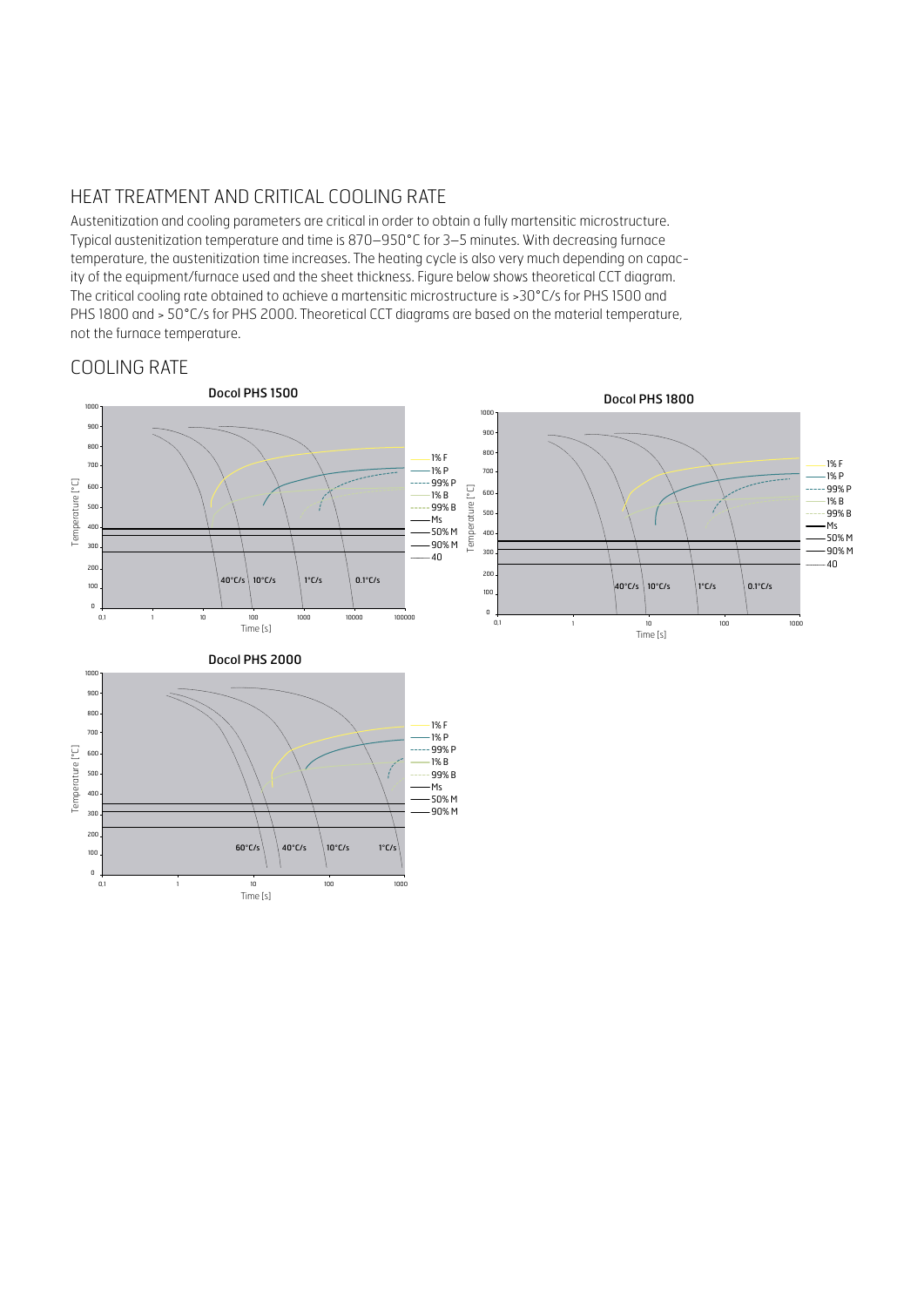#### HEAT TREATMENT AND CRITICAL COOLING RATE

Austenitization and cooling parameters are critical in order to obtain a fully martensitic microstructure. Typical austenitization temperature and time is 870–950°C for 3–5 minutes. With decreasing furnace temperature, the austenitization time increases. The heating cycle is also very much depending on capacity of the equipment/furnace used and the sheet thickness. Figure below shows theoretical CCT diagram. The critical cooling rate obtained to achieve a martensitic microstructure is >30°C/s for PHS 1500 and PHS 1800 and > 50°C/s for PHS 2000. Theoretical CCT diagrams are based on the material temperature, not the furnace temperature.

#### COOLING RATE

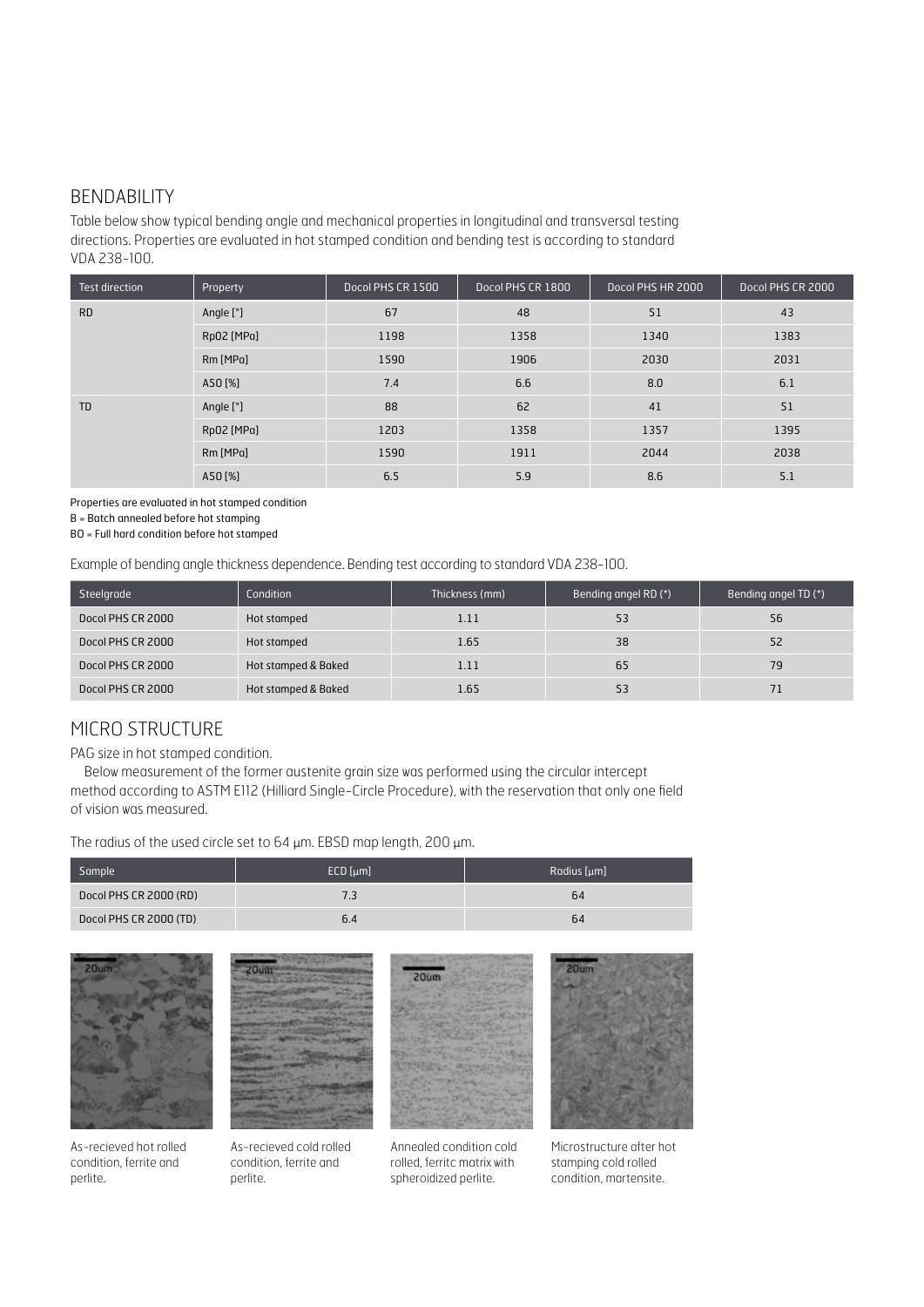#### BENDABILITY

Table below show typical bending angle and mechanical properties in longitudinal and transversal testing directions. Properties are evaluated in hot stamped condition and bending test is according to standard VDA 238-100.

| Test direction | Property   | Docol PHS CR 1500 | Docol PHS CR 1800 | Docol PHS HR 2000 | Docol PHS CR 2000 |
|----------------|------------|-------------------|-------------------|-------------------|-------------------|
| <b>RD</b>      | Angle [°]  | 67                | 48                | 51                | 43                |
|                | Rp02 [MPa] | 1198              | 1358              | 1340              | 1383              |
|                | Rm [MPa]   | 1590              | 1906              | 2030              | 2031              |
|                | A50 [%]    | 7.4               | 6.6               | 8.0               | 6.1               |
| <b>TD</b>      | Angle [°]  | 88                | 62                | 41                | 51                |
|                | Rp02 [MPa] | 1203              | 1358              | 1357              | 1395              |
|                | Rm [MPa]   | 1590              | 1911              | 2044              | 2038              |
|                | A50 [%]    | 6.5               | 5.9               | 8.6               | 5.1               |

Properties are evaluated in hot stamped condition

B = Batch annealed before hot stamping

BO = Full hard condition before hot stamped

Example of bending angle thickness dependence. Bending test according to standard VDA 238-100.

| Steelgrade        | Condition           | Thickness (mm) | Bending angel RD (*) | Bending angel TD (*) |
|-------------------|---------------------|----------------|----------------------|----------------------|
| Docol PHS CR 2000 | Hot stamped         | 1.11           | 53                   | 56                   |
| Docol PHS CR 2000 | Hot stamped         | 1.65           | 38                   | 52                   |
| Docol PHS CR 2000 | Hot stamped & Baked | 1.11           | 65                   | 79                   |
| Docol PHS CR 2000 | Hot stamped & Baked | 1.65           | 53                   |                      |

#### MICRO STRUCTURE

PAG size in hot stamped condition.

Below measurement of the former austenite grain size was performed using the circular intercept method according to ASTM E112 (Hilliard Single-Circle Procedure), with the reservation that only one field of vision was measured.

The radius of the used circle set to 64 µm. EBSD map length, 200 µm.

perlite.

| Sample                 | $ECD$ [ $\mu$ m] | Radius [µm] |
|------------------------|------------------|-------------|
| Docol PHS CR 2000 (RD) |                  | 64          |
| Docol PHS CR 2000 (TD) | b.4              | 64          |



As-recieved hot rolled condition, ferrite and perlite.

As-recieved cold rolled condition, ferrite and

Annealed condition cold rolled, ferritc matrix with spheroidized perlite.

Microstructure after hot stamping cold rolled condition, martensite.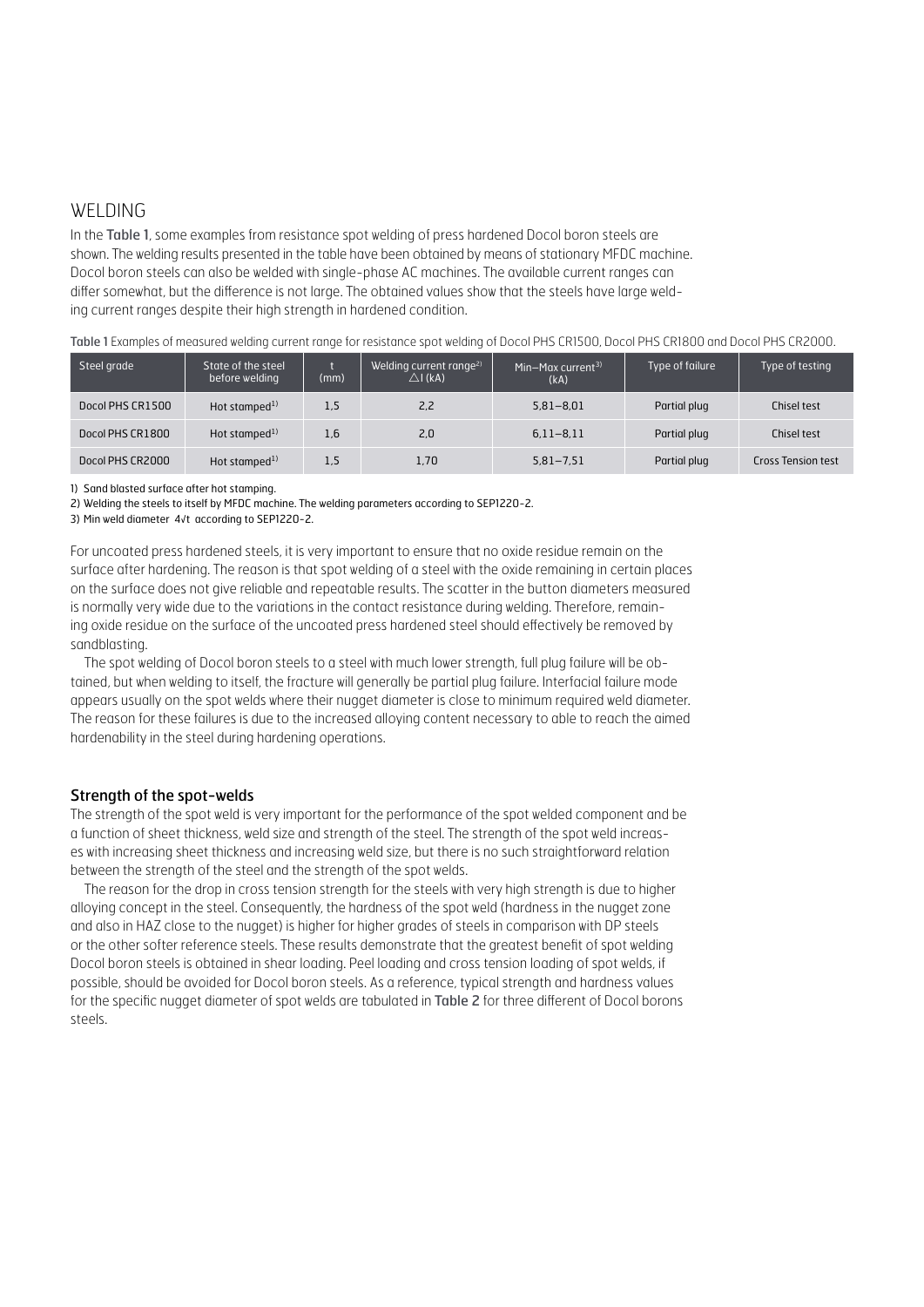#### WELDING

In the Table 1, some examples from resistance spot welding of press hardened Docol boron steels are shown. The welding results presented in the table have been obtained by means of stationary MFDC machine. Docol boron steels can also be welded with single-phase AC machines. The available current ranges can differ somewhat, but the difference is not large. The obtained values show that the steels have large welding current ranges despite their high strength in hardened condition.

Table 1 Examples of measured welding current range for resistance spot welding of Docol PHS CR1500, Docol PHS CR1800 and Docol PHS CR2000.

| Steel grade      | State of the steel<br>before welding | (mm) | Welding current range <sup>2)</sup><br>$\triangle$ I (kA) | Min-Max current <sup>3)</sup><br>(kA) | Type of failure | Type of testing           |
|------------------|--------------------------------------|------|-----------------------------------------------------------|---------------------------------------|-----------------|---------------------------|
| Docol PHS CR1500 | Hot stamped <sup>1)</sup>            | 1.5  | 2,2                                                       | $5.81 - 8.01$                         | Partial plug    | Chisel test               |
| Docol PHS CR1800 | Hot stamped <sup>1)</sup>            | 1.6  | 2,0                                                       | $6.11 - 8.11$                         | Partial plug    | Chisel test               |
| Docol PHS CR2000 | Hot stamped <sup>1)</sup>            | 1.5  | 1.70                                                      | $5.81 - 7.51$                         | Partial plug    | <b>Cross Tension test</b> |

1) Sand blasted surface after hot stamping.

2) Welding the steels to itself by MFDC machine. The welding parameters according to SEP1220-2.

3) Min weld diameter 4√t according to SEP1220-2.

For uncoated press hardened steels, it is very important to ensure that no oxide residue remain on the surface after hardening. The reason is that spot welding of a steel with the oxide remaining in certain places on the surface does not give reliable and repeatable results. The scatter in the button diameters measured is normally very wide due to the variations in the contact resistance during welding. Therefore, remaining oxide residue on the surface of the uncoated press hardened steel should effectively be removed by sandblasting.

The spot welding of Docol boron steels to a steel with much lower strength, full plug failure will be obtained, but when welding to itself, the fracture will generally be partial plug failure. Interfacial failure mode appears usually on the spot welds where their nugget diameter is close to minimum required weld diameter. The reason for these failures is due to the increased alloying content necessary to able to reach the aimed hardenability in the steel during hardening operations.

#### Strength of the spot-welds

The strength of the spot weld is very important for the performance of the spot welded component and be a function of sheet thickness, weld size and strength of the steel. The strength of the spot weld increases with increasing sheet thickness and increasing weld size, but there is no such straightforward relation between the strength of the steel and the strength of the spot welds.

The reason for the drop in cross tension strength for the steels with very high strength is due to higher alloying concept in the steel. Consequently, the hardness of the spot weld (hardness in the nugget zone and also in HAZ close to the nugget) is higher for higher grades of steels in comparison with DP steels or the other softer reference steels. These results demonstrate that the greatest benefit of spot welding Docol boron steels is obtained in shear loading. Peel loading and cross tension loading of spot welds, if possible, should be avoided for Docol boron steels. As a reference, typical strength and hardness values for the specific nugget diameter of spot welds are tabulated in Table 2 for three different of Docol borons steels.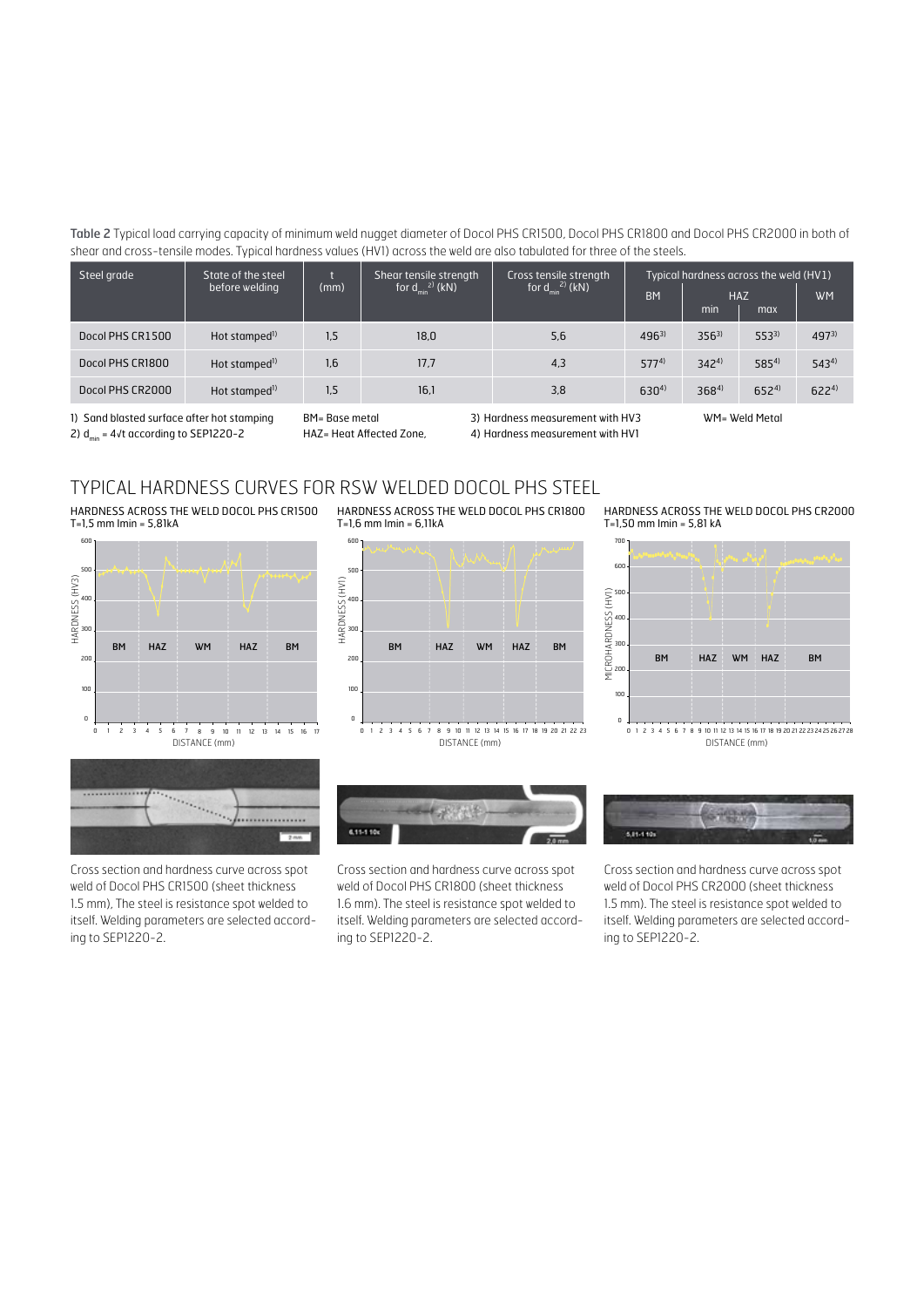Table 2 Typical load carrying capacity of minimum weld nugget diameter of Docol PHS CR1500, Docol PHS CR1800 and Docol PHS CR2000 in both of shear and cross-tensile modes. Typical hardness values (HV1) across the weld are also tabulated for three of the steels.

| Steel grade      | State of the steel        |      | Shear tensile strength<br>for $d_{min}^{2)}$ (kN)<br>for $d_{min}^{2)}$ (kN) | Cross tensile strength | Typical hardness across the weld (HV1) |           |            |           |
|------------------|---------------------------|------|------------------------------------------------------------------------------|------------------------|----------------------------------------|-----------|------------|-----------|
|                  | before welding            | (mm) |                                                                              |                        | <b>BM</b>                              | min       | <b>HAZ</b> | <b>WM</b> |
|                  |                           |      |                                                                              |                        |                                        |           | max        |           |
| Docol PHS CR1500 | Hot stamped <sup>1)</sup> | 1.5  | 18.0                                                                         | 5.6                    | $496^{3}$                              | $356^{3}$ | $553^{3}$  | $497^{3}$ |
| Docol PHS CR1800 | Hot stamped <sup>1)</sup> | 1.6  | 17.7                                                                         | 4.3                    | $577^{4}$                              | $342^{4}$ | $585^{4}$  | $543^{4}$ |
| Docol PHS CR2000 | Hot stamped <sup>1)</sup> | 1.5  | 16,1                                                                         | 3.8                    | $630^{4}$                              | $368^{4}$ | $652^{4}$  | $622^{4}$ |

HARDNESS ACROSS THE WELD DOCOL PHS CR1800

1) Sand blasted surface after hot stamping BM= Base metal 2)  $d_{min}$  = 4√t according to SEP1220-2 HAZ= Heat Affected Zone,

600

T=1,6 mm Imin = 6,11kA

3) Hardness measurement with HV3 WM= Weld Metal 4) Hardness measurement with HV1

#### TYPICAL HARDNESS CURVES FOR RSW WELDED DOCOL PHS STEEL

HARDNESS ACROSS THE WELD DOCOL PHS CR1500 T=1,5 mm Imin = 5,81kA



 $\ddotsc$  $\alpha_{\alpha_{\alpha_{\alpha}}}$ /................

Cross section and hardness curve across spot weld of Docol PHS CR1500 (sheet thickness 1.5 mm), The steel is resistance spot welded to itself. Welding parameters are selected according to SEP1220-2.





Cross section and hardness curve across spot weld of Docol PHS CR1800 (sheet thickness 1.6 mm). The steel is resistance spot welded to itself. Welding parameters are selected according to SEP1220-2.

HARDNESS ACROSS THE WELD DOCOL PHS CR2000 T=1,50 mm Imin = 5,81 kA





Cross section and hardness curve across spot weld of Docol PHS CR2000 (sheet thickness 1.5 mm). The steel is resistance spot welded to itself. Welding parameters are selected according to SEP1220-2.